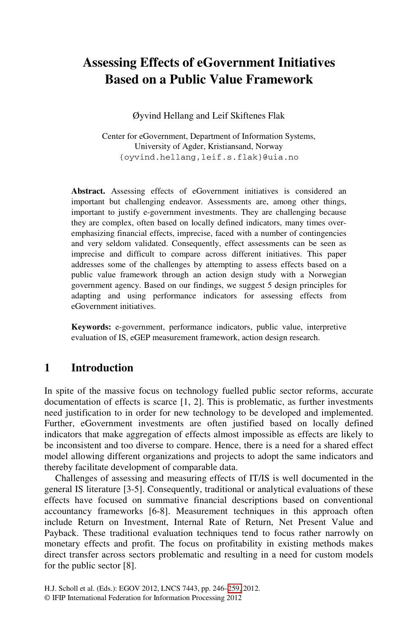# **Assessing Effects of eGovernment Initiatives Based on a Public Value Framework**

Øyvind Hellang and Leif Skiftenes Flak

Center for eGovernment, Department of Information Systems, University of Agder, Kristiansand, Norway {oyvind.hellang,leif.s.flak}@uia.no

**Abstract.** Assessing effects of eGovernment initiatives is considered an important but challenging endeavor. Assessments are, among other things, important to justify e-government investments. They are challenging because they are complex, often based on locally defined indicators, many times overemphasizing financial effects, imprecise, faced with a number of contingencies and very seldom validated. Consequently, effect assessments can be seen as imprecise and difficult to compare across different initiatives. This paper addresses some of the challenges by attempting to assess effects based on a public value framework through an action design study with a Norwegian government agency. Based on our findings, we suggest 5 design principles for adapting and using performance indicators for assessing effects from eGovernment initiatives.

**Keywords:** e-government, performance indicators, public value, interpretive evaluation of IS, eGEP measurement framework, action design research.

### **1 Introduction**

In spite of the massive focus on technology fuelled public sector reforms, accurate documentation of effects is scarce [1, 2]. This is problematic, as further investments need justification to in order for new technology to be developed and implemented. Further, eGovernment investments are often justified based on locally defined indicators that make aggregation of effects almost impossible as effects are likely to be inconsistent and too diverse to compare. Hence, there is a need for a shared effect model allowing different organizations and projects to adopt the same indicators and thereby facilitate development of comparable data.

Challenges of assessing and measuring effects of IT/IS is well documented in the general IS literature [3-5]. Consequently, traditional or analytical evaluations of these effects have focused on s[umm](#page-13-0)ative financial descriptions based on conventional accountancy frameworks [6-8]. Measurement techniques in this approach often include Return on Investment, Internal Rate of Return, Net Present Value and Payback. These traditional evaluation techniques tend to focus rather narrowly on monetary effects and profit. The focus on profitability in existing methods makes direct transfer across sectors problematic and resulting in a need for custom models for the public sector [8].

H.J. Scholl et al. (Eds.): EGOV 2012, LNCS 7443, pp. 246–259, 2012. © IFIP International Federation for Information Processing 2012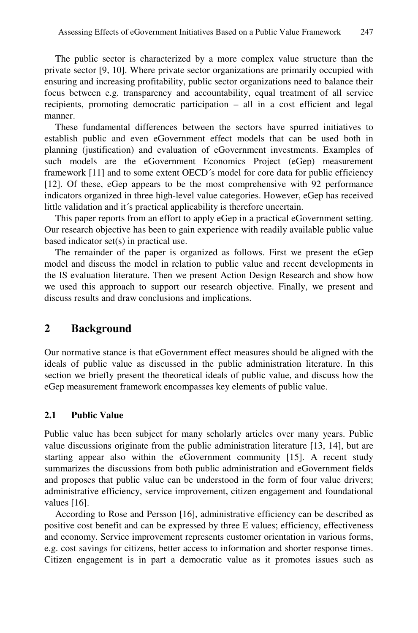The public sector is characterized by a more complex value structure than the private sector [9, 10]. Where private sector organizations are primarily occupied with ensuring and increasing profitability, public sector organizations need to balance their focus between e.g. transparency and accountability, equal treatment of all service recipients, promoting democratic participation – all in a cost efficient and legal manner.

These fundamental differences between the sectors have spurred initiatives to establish public and even eGovernment effect models that can be used both in planning (justification) and evaluation of eGovernment investments. Examples of such models are the eGovernment Economics Project (eGep) measurement framework [11] and to some extent OECD´s model for core data for public efficiency [12]. Of these, eGep appears to be the most comprehensive with 92 performance indicators organized in three high-level value categories. However, eGep has received little validation and it´s practical applicability is therefore uncertain.

This paper reports from an effort to apply eGep in a practical eGovernment setting. Our research objective has been to gain experience with readily available public value based indicator set(s) in practical use.

The remainder of the paper is organized as follows. First we present the eGep model and discuss the model in relation to public value and recent developments in the IS evaluation literature. Then we present Action Design Research and show how we used this approach to support our research objective. Finally, we present and discuss results and draw conclusions and implications.

## **2 Background**

Our normative stance is that eGovernment effect measures should be aligned with the ideals of public value as discussed in the public administration literature. In this section we briefly present the theoretical ideals of public value, and discuss how the eGep measurement framework encompasses key elements of public value.

#### **2.1 Public Value**

Public value has been subject for many scholarly articles over many years. Public value discussions originate from the public administration literature [13, 14], but are starting appear also within the eGovernment community [15]. A recent study summarizes the discussions from both public administration and eGovernment fields and proposes that public value can be understood in the form of four value drivers; administrative efficiency, service improvement, citizen engagement and foundational values [16].

According to Rose and Persson [16], administrative efficiency can be described as positive cost benefit and can be expressed by three E values; efficiency, effectiveness and economy. Service improvement represents customer orientation in various forms, e.g. cost savings for citizens, better access to information and shorter response times. Citizen engagement is in part a democratic value as it promotes issues such as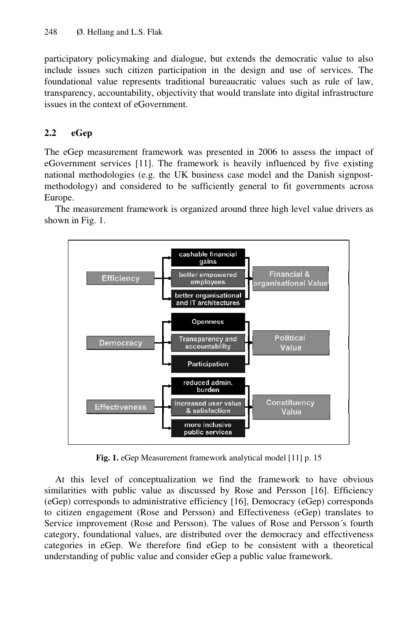participatory policymaking and dialogue, but extends the democratic value to also include issues such citizen participation in the design and use of services. The foundational value represents traditional bureaucratic values such as rule of law, transparency, accountability, objectivity that would translate into digital infrastructure issues in the context of eGovernment.

## **2.2 eGep**

The eGep measurement framework was presented in 2006 to assess the impact of eGovernment services [11]. The framework is heavily influenced by five existing national methodologies (e.g. the UK business case model and the Danish signpostmethodology) and considered to be sufficiently general to fit governments across Europe.

The measurement frame work is organized around three high level value driver s as shown in Fig. 1.



**Fig. 1.** eGep M easurement framework analytical model [11] p. 15

At this level of conceptualization we find the framework to have obvious similarities with public value as discussed by Rose and Persson [16]. Efficiency (eGep) corresponds to administrative efficiency [16], Democracy (eGep) corresponds to citizen engagement (Rose and Persson) and Effectiveness (eGep) translates to Service improvement (Rose and Persson). The values of Rose and Persson's fourth category, foundational values, are distributed over the democracy and effectiveness categories in eGep. We therefore find eGep to be consistent with a theoretical understanding of public value and consider eGep a public value framework.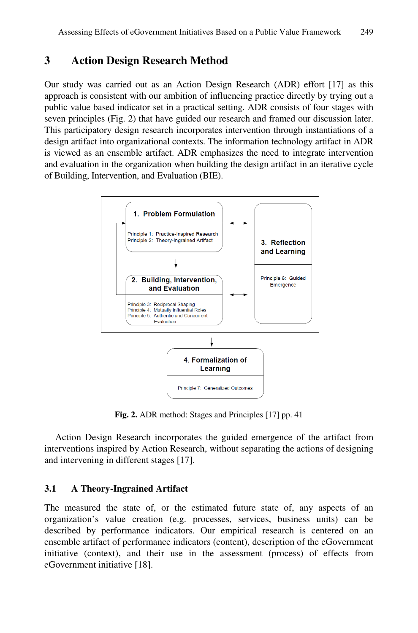## **3 Action Design Research Method**

Our study was carried out as an Action Design Research (ADR) effort [17] as this approach is consistent with our ambition of influencing practice directly by trying out a public value based indicator set in a practical setting. ADR consists of four stages with seven principles (Fig. 2) that have guided our research and framed our discussion later. This participatory design research incorporates intervention through instantiations of a design artifact into organizational contexts. The information technology artifact in ADR is viewed as an ensemble artifact. ADR emphasizes the need to integrate intervention and evaluation in the organization when building the design artifact in an iterative cycle of Building, Intervention, and Evaluation (BIE).



**Fig. 2.** ADR method: Stages and Principles [17] pp. 41

Action Design Research incorporates the guided emergence of the artifact from interventions inspired by Action Research, without separating the actions of designing and intervening in different stages [17].

### **3.1 A Theory-Ingrained Artifact**

The measured the state of, or the estimated future state of, any aspects of an organization's value creation (e.g. processes, services, business units) can be described by performance indicators. Our empirical research is centered on an ensemble artifact of performance indicators (content), description of the eGovernment initiative (context), and their use in the assessment (process) of effects from eGovernment initiative [18].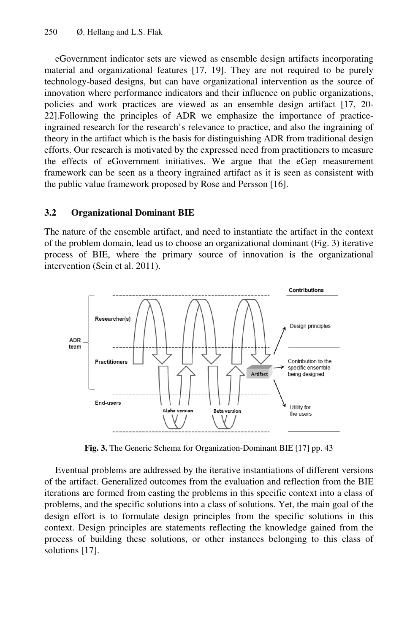eGovernment indicator sets are viewed as ensemble design artifacts incorporating material and organizational features [17, 19]. They are not required to be purely technology-based designs, but can have organizational intervention as the source e of innovation where performance indicators and their influence on public organizations, policies and work practic es are viewed as an ensemble design artifact [17, 20- 22]. Following the principles of ADR we emphasize the importance of practiceingrained research for the research's relevance to practice, and also the ingraining of theory in the artifact which is the basis for distinguishing ADR from traditional design efforts. Our research is motivated by the expressed need from practitioners to measure the effects of eGovernment initiatives. We argue that the eGep measurement framework can be seen as a theory ingrained artifact as it is seen as consistent with the public value framework k proposed by Rose and Persson [16].

## **3.2 Organizational Dom minant BIE**

The nature of the ensemble artifact, and need to instantiate the artifact in the context of the problem domain, lead us to choose an organizational dominant (Fig. 3) iterative process of BIE, where the primary source of innovation is the organizational intervention (Sein et al. 2011).



Fig. 3. The Generic Schema for Organization-Dominant BIE [17] pp. 43

Eventual problems are addressed by the iterative instantiations of different versions of the artifact. Generalized outcomes from the evaluation and reflection from the B BIE iterations are formed from casting the problems in this specific context into a clas s of problems, and the specific solutions into a class of solutions. Yet, the main goal of the design effort is to formul ate design principles from the specific solutions in this context. Design principles are statements reflecting the knowledge gained from the process of building these solutions, or other instances belonging to this class s of solutions [17].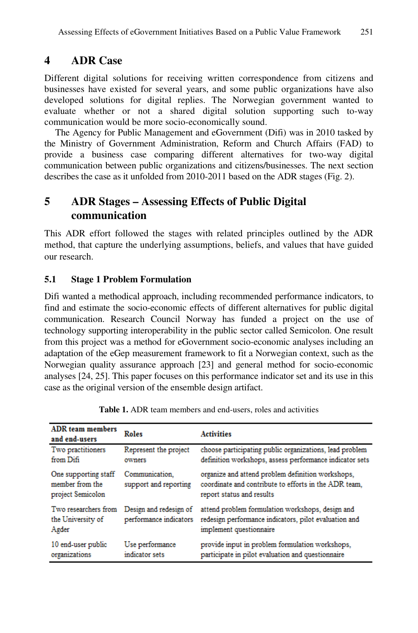## **4 ADR Case**

Different digital solutions for receiving written correspondence from citizens and businesses have existed for several years, and some public organizations have also developed solutions for digital replies. The Norwegian government wanted to evaluate whether or not a shared digital solution supporting such to-way communication would be more socio-economically sound.

The Agency for Public Management and eGovernment (Difi) was in 2010 tasked by the Ministry of Government Administration, Reform and Church Affairs (FAD) to provide a business case comparing different alternatives for two-way digital communication between public organizations and citizens/businesses. The next section describes the case as it unfolded from 2010-2011 based on the ADR stages (Fig. 2).

# **5 ADR Stages – Assessing Effects of Public Digital communication**

This ADR effort followed the stages with related principles outlined by the ADR method, that capture the underlying assumptions, beliefs, and values that have guided our research.

### **5.1 Stage 1 Problem Formulation**

Difi wanted a methodical approach, including recommended performance indicators, to find and estimate the socio-economic effects of different alternatives for public digital communication. Research Council Norway has funded a project on the use of technology supporting interoperability in the public sector called Semicolon. One result from this project was a method for eGovernment socio-economic analyses including an adaptation of the eGep measurement framework to fit a Norwegian context, such as the Norwegian quality assurance approach [23] and general method for socio-economic analyses [24, 25]. This paper focuses on this performance indicator set and its use in this case as the original version of the ensemble design artifact.

| <b>ADR</b> team members<br>and end-users                     | <b>Roles</b>                                     | <b>Activities</b>                                                                                                                       |
|--------------------------------------------------------------|--------------------------------------------------|-----------------------------------------------------------------------------------------------------------------------------------------|
| Two practitioners<br>from Difi                               | Represent the project<br>owners                  | choose participating public organizations, lead problem<br>definition workshops, assess performance indicator sets                      |
| One supporting staff<br>member from the<br>project Semicolon | Communication.<br>support and reporting          | organize and attend problem definition workshops,<br>coordinate and contribute to efforts in the ADR team.<br>report status and results |
| Two researchers from<br>the University of<br>Agder           | Design and redesign of<br>performance indicators | attend problem formulation workshops, design and<br>redesign performance indicators, pilot evaluation and<br>implement questionnaire    |
| 10 end-user public<br>organizations                          | Use performance<br>indicator sets                | provide input in problem formulation workshops,<br>participate in pilot evaluation and questionnaire                                    |

| <b>Table 1.</b> ADR team members and end-users, roles and activities |  |
|----------------------------------------------------------------------|--|
|----------------------------------------------------------------------|--|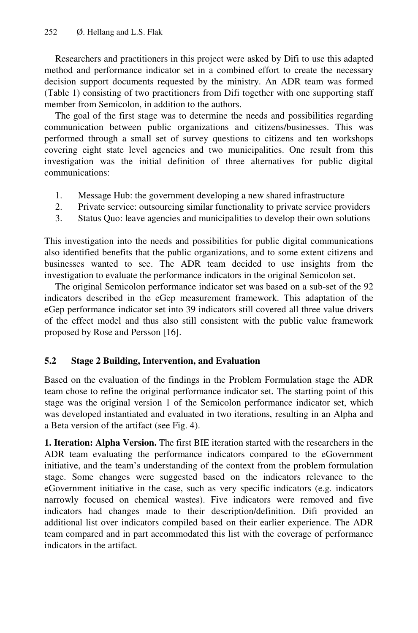Researchers and practitioners in this project were asked by Difi to use this adapted method and performance indicator set in a combined effort to create the necessary decision support documents requested by the ministry. An ADR team was formed (Table 1) consisting of two practitioners from Difi together with one supporting staff member from Semicolon, in addition to the authors.

The goal of the first stage was to determine the needs and possibilities regarding communication between public organizations and citizens/businesses. This was performed through a small set of survey questions to citizens and ten workshops covering eight state level agencies and two municipalities. One result from this investigation was the initial definition of three alternatives for public digital communications:

- 1. Message Hub: the government developing a new shared infrastructure
- 2. Private service: outsourcing similar functionality to private service providers
- 3. Status Quo: leave agencies and municipalities to develop their own solutions

This investigation into the needs and possibilities for public digital communications also identified benefits that the public organizations, and to some extent citizens and businesses wanted to see. The ADR team decided to use insights from the investigation to evaluate the performance indicators in the original Semicolon set.

The original Semicolon performance indicator set was based on a sub-set of the 92 indicators described in the eGep measurement framework. This adaptation of the eGep performance indicator set into 39 indicators still covered all three value drivers of the effect model and thus also still consistent with the public value framework proposed by Rose and Persson [16].

### **5.2 Stage 2 Building, Intervention, and Evaluation**

Based on the evaluation of the findings in the Problem Formulation stage the ADR team chose to refine the original performance indicator set. The starting point of this stage was the original version 1 of the Semicolon performance indicator set, which was developed instantiated and evaluated in two iterations, resulting in an Alpha and a Beta version of the artifact (see Fig. 4).

**1. Iteration: Alpha Version.** The first BIE iteration started with the researchers in the ADR team evaluating the performance indicators compared to the eGovernment initiative, and the team's understanding of the context from the problem formulation stage. Some changes were suggested based on the indicators relevance to the eGovernment initiative in the case, such as very specific indicators (e.g. indicators narrowly focused on chemical wastes). Five indicators were removed and five indicators had changes made to their description/definition. Difi provided an additional list over indicators compiled based on their earlier experience. The ADR team compared and in part accommodated this list with the coverage of performance indicators in the artifact.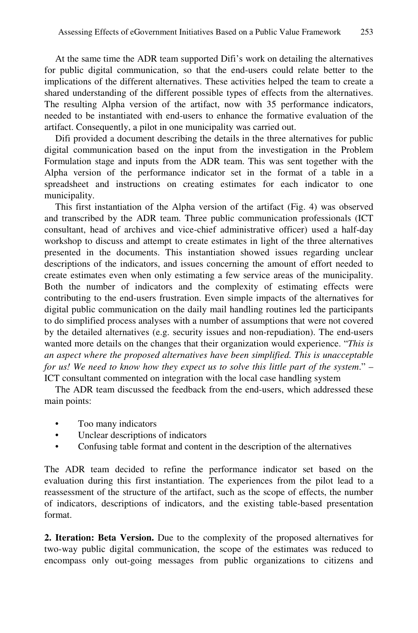At the same time the ADR team supported Difi's work on detailing the alternatives for public digital communication, so that the end-users could relate better to the implications of the different alternatives. These activities helped the team to create a shared understanding of the different possible types of effects from the alternatives. The resulting Alpha version of the artifact, now with 35 performance indicators, needed to be instantiated with end-users to enhance the formative evaluation of the artifact. Consequently, a pilot in one municipality was carried out.

Difi provided a document describing the details in the three alternatives for public digital communication based on the input from the investigation in the Problem Formulation stage and inputs from the ADR team. This was sent together with the Alpha version of the performance indicator set in the format of a table in a spreadsheet and instructions on creating estimates for each indicator to one municipality.

This first instantiation of the Alpha version of the artifact (Fig. 4) was observed and transcribed by the ADR team. Three public communication professionals (ICT consultant, head of archives and vice-chief administrative officer) used a half-day workshop to discuss and attempt to create estimates in light of the three alternatives presented in the documents. This instantiation showed issues regarding unclear descriptions of the indicators, and issues concerning the amount of effort needed to create estimates even when only estimating a few service areas of the municipality. Both the number of indicators and the complexity of estimating effects were contributing to the end-users frustration. Even simple impacts of the alternatives for digital public communication on the daily mail handling routines led the participants to do simplified process analyses with a number of assumptions that were not covered by the detailed alternatives (e.g. security issues and non-repudiation). The end-users wanted more details on the changes that their organization would experience. "*This is an aspect where the proposed alternatives have been simplified. This is unacceptable for us! We need to know how they expect us to solve this little part of the system*." – ICT consultant commented on integration with the local case handling system

The ADR team discussed the feedback from the end-users, which addressed these main points:

- Too many indicators
- Unclear descriptions of indicators
- Confusing table format and content in the description of the alternatives

The ADR team decided to refine the performance indicator set based on the evaluation during this first instantiation. The experiences from the pilot lead to a reassessment of the structure of the artifact, such as the scope of effects, the number of indicators, descriptions of indicators, and the existing table-based presentation format.

**2. Iteration: Beta Version.** Due to the complexity of the proposed alternatives for two-way public digital communication, the scope of the estimates was reduced to encompass only out-going messages from public organizations to citizens and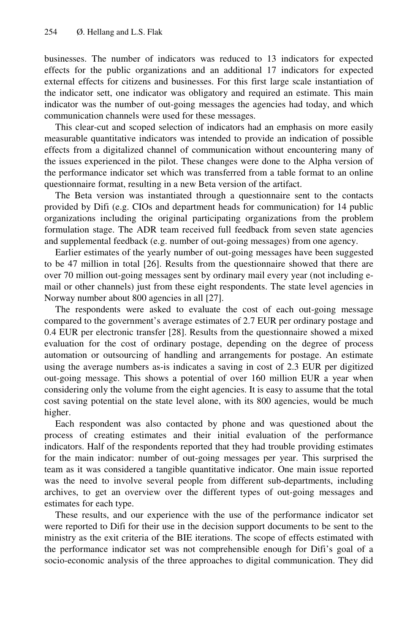businesses. The number of indicators was reduced to 13 indicators for expected effects for the public organizations and an additional 17 indicators for expected external effects for citizens and businesses. For this first large scale instantiation of the indicator sett, one indicator was obligatory and required an estimate. This main indicator was the number of out-going messages the agencies had today, and which communication channels were used for these messages.

This clear-cut and scoped selection of indicators had an emphasis on more easily measurable quantitative indicators was intended to provide an indication of possible effects from a digitalized channel of communication without encountering many of the issues experienced in the pilot. These changes were done to the Alpha version of the performance indicator set which was transferred from a table format to an online questionnaire format, resulting in a new Beta version of the artifact.

The Beta version was instantiated through a questionnaire sent to the contacts provided by Difi (e.g. CIOs and department heads for communication) for 14 public organizations including the original participating organizations from the problem formulation stage. The ADR team received full feedback from seven state agencies and supplemental feedback (e.g. number of out-going messages) from one agency.

Earlier estimates of the yearly number of out-going messages have been suggested to be 47 million in total [26]. Results from the questionnaire showed that there are over 70 million out-going messages sent by ordinary mail every year (not including email or other channels) just from these eight respondents. The state level agencies in Norway number about 800 agencies in all [27].

The respondents were asked to evaluate the cost of each out-going message compared to the government's average estimates of 2.7 EUR per ordinary postage and 0.4 EUR per electronic transfer [28]. Results from the questionnaire showed a mixed evaluation for the cost of ordinary postage, depending on the degree of process automation or outsourcing of handling and arrangements for postage. An estimate using the average numbers as-is indicates a saving in cost of 2.3 EUR per digitized out-going message. This shows a potential of over 160 million EUR a year when considering only the volume from the eight agencies. It is easy to assume that the total cost saving potential on the state level alone, with its 800 agencies, would be much higher.

Each respondent was also contacted by phone and was questioned about the process of creating estimates and their initial evaluation of the performance indicators. Half of the respondents reported that they had trouble providing estimates for the main indicator: number of out-going messages per year. This surprised the team as it was considered a tangible quantitative indicator. One main issue reported was the need to involve several people from different sub-departments, including archives, to get an overview over the different types of out-going messages and estimates for each type.

These results, and our experience with the use of the performance indicator set were reported to Difi for their use in the decision support documents to be sent to the ministry as the exit criteria of the BIE iterations. The scope of effects estimated with the performance indicator set was not comprehensible enough for Difi's goal of a socio-economic analysis of the three approaches to digital communication. They did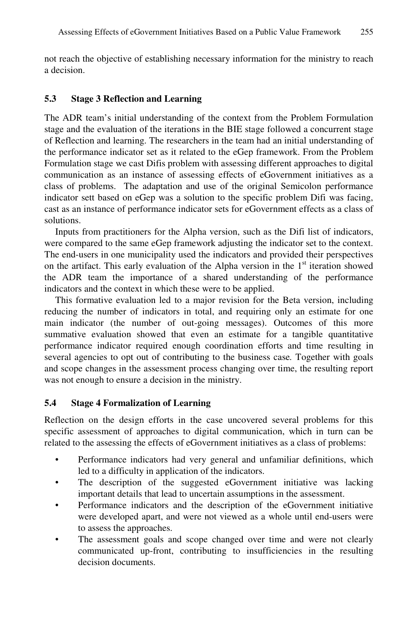not reach the objective of establishing necessary information for the ministry to reach a decision.

### **5.3 Stage 3 Reflection and Learning**

The ADR team's initial understanding of the context from the Problem Formulation stage and the evaluation of the iterations in the BIE stage followed a concurrent stage of Reflection and learning. The researchers in the team had an initial understanding of the performance indicator set as it related to the eGep framework. From the Problem Formulation stage we cast Difis problem with assessing different approaches to digital communication as an instance of assessing effects of eGovernment initiatives as a class of problems. The adaptation and use of the original Semicolon performance indicator sett based on eGep was a solution to the specific problem Difi was facing, cast as an instance of performance indicator sets for eGovernment effects as a class of solutions.

Inputs from practitioners for the Alpha version, such as the Difi list of indicators, were compared to the same eGep framework adjusting the indicator set to the context. The end-users in one municipality used the indicators and provided their perspectives on the artifact. This early evaluation of the Alpha version in the  $1<sup>st</sup>$  iteration showed the ADR team the importance of a shared understanding of the performance indicators and the context in which these were to be applied.

This formative evaluation led to a major revision for the Beta version, including reducing the number of indicators in total, and requiring only an estimate for one main indicator (the number of out-going messages). Outcomes of this more summative evaluation showed that even an estimate for a tangible quantitative performance indicator required enough coordination efforts and time resulting in several agencies to opt out of contributing to the business case*.* Together with goals and scope changes in the assessment process changing over time, the resulting report was not enough to ensure a decision in the ministry.

### **5.4 Stage 4 Formalization of Learning**

Reflection on the design efforts in the case uncovered several problems for this specific assessment of approaches to digital communication, which in turn can be related to the assessing the effects of eGovernment initiatives as a class of problems:

- Performance indicators had very general and unfamiliar definitions, which led to a difficulty in application of the indicators.
- The description of the suggested eGovernment initiative was lacking important details that lead to uncertain assumptions in the assessment.
- Performance indicators and the description of the eGovernment initiative were developed apart, and were not viewed as a whole until end-users were to assess the approaches.
- The assessment goals and scope changed over time and were not clearly communicated up-front, contributing to insufficiencies in the resulting decision documents.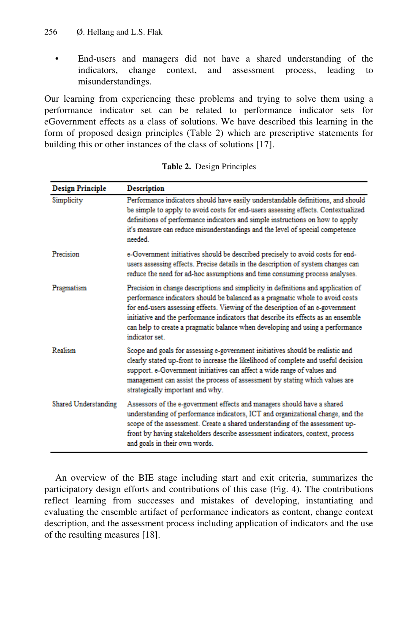#### 256 Ø. Hellang and L.S. Flak

• End-users and managers did not have a shared understanding of the indicators, change context, and assessment process, leading to misunderstandings.

Our learning from experiencing these problems and trying to solve them using a performance indicator set can be related to performance indicator sets for eGovernment effects as a class of solutions. We have described this learning in the form of proposed design principles (Table 2) which are prescriptive statements for building this or other instances of the class of solutions [17].

| <b>Design Principle</b> | <b>Description</b>                                                                                                                                                                                                                                                                                                                                                                                                                            |
|-------------------------|-----------------------------------------------------------------------------------------------------------------------------------------------------------------------------------------------------------------------------------------------------------------------------------------------------------------------------------------------------------------------------------------------------------------------------------------------|
| Simplicity              | Performance indicators should have easily understandable definitions, and should<br>be simple to apply to avoid costs for end-users assessing effects. Contextualized<br>definitions of performance indicators and simple instructions on how to apply<br>it's measure can reduce misunderstandings and the level of special competence<br>needed                                                                                             |
| Precision               | e-Government initiatives should be described precisely to avoid costs for end-<br>users assessing effects. Precise details in the description of system changes can<br>reduce the need for ad-hoc assumptions and time consuming process analyses.                                                                                                                                                                                            |
| Pragmatism              | Precision in change descriptions and simplicity in definitions and application of<br>performance indicators should be balanced as a pragmatic whole to avoid costs<br>for end-users assessing effects. Viewing of the description of an e-government<br>initiative and the performance indicators that describe its effects as an ensemble<br>can help to create a pragmatic balance when developing and using a performance<br>indicator set |
| Realism                 | Scope and goals for assessing e-government initiatives should be realistic and<br>clearly stated up-front to increase the likelihood of complete and useful decision<br>support. e-Government initiatives can affect a wide range of values and<br>management can assist the process of assessment by stating which values are<br>strategically important and why.                                                                            |
| Shared Understanding    | Assessors of the e-government effects and managers should have a shared<br>understanding of performance indicators, ICT and organizational change, and the<br>scope of the assessment. Create a shared understanding of the assessment up-<br>front by having stakeholders describe assessment indicators, context, process<br>and goals in their own words.                                                                                  |

|  |  | Table 2. Design Principles |
|--|--|----------------------------|
|--|--|----------------------------|

An overview of the BIE stage including start and exit criteria, summarizes the participatory design efforts and contributions of this case (Fig. 4). The contributions reflect learning from successes and mistakes of developing, instantiating and evaluating the ensemble artifact of performance indicators as content, change context description, and the assessment process including application of indicators and the use of the resulting measures [18].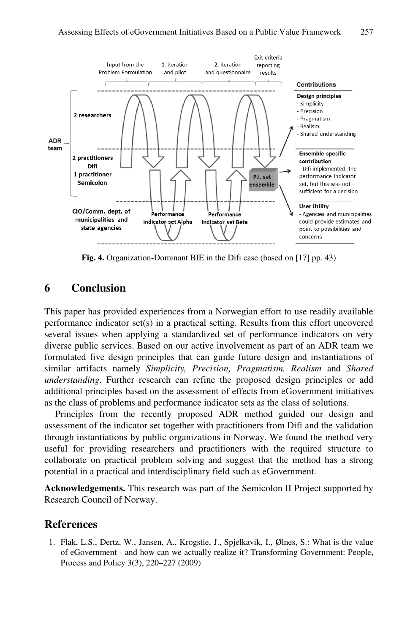

**Fig. 4.** Organization-Dominant BIE in the Difi case (based on [17] pp. 43)

## **6 Conclusion**

This paper has provided experiences from a Norwegian effort to use readily available performance indicator set(s) in a practical setting. Results from this effort uncovered several issues when applying a standardized set of performance indicators on very diverse public services. Based on our active involvement as part of an ADR team we formulated five design principles that can guide future design and instantiations of similar artifacts namely *Simplicity, Precision, Pragmatism, Realism* and *Shared understanding*. Further research can refine the proposed design principles or add additional principles based on the assessment of effects from eGovernment initiatives as the class of problems and performance indicator sets as the class of solutions.

Principles from the recently proposed ADR method guided our design and assessment of the indicator set together with practitioners from Difi and the validation through instantiations by public organizations in Norway. We found the method very useful for providing researchers and practitioners with the required structure to collaborate on practical problem solving and suggest that the method has a strong potential in a practical and interdisciplinary field such as eGovernment.

**Acknowledgements.** This research was part of the Semicolon II Project supported by Research Council of Norway.

### **References**

1. Flak, L.S., Dertz, W., Jansen, A., Krogstie, J., Spjelkavik, I., Ølnes, S.: What is the value of eGovernment - and how can we actually realize it? Transforming Government: People, Process and Policy 3(3), 220–227 (2009)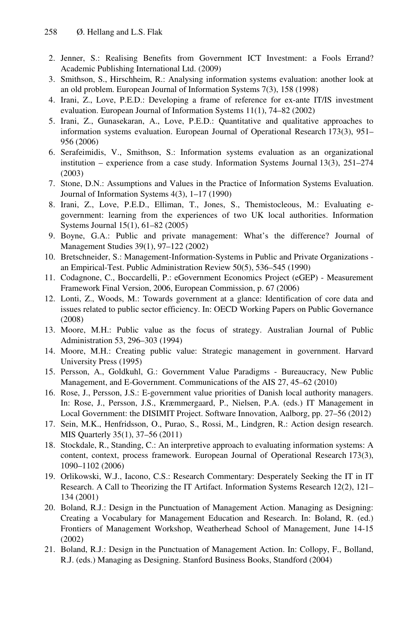- 2. Jenner, S.: Realising Benefits from Government ICT Investment: a Fools Errand? Academic Publishing International Ltd. (2009)
- 3. Smithson, S., Hirschheim, R.: Analysing information systems evaluation: another look at an old problem. European Journal of Information Systems 7(3), 158 (1998)
- 4. Irani, Z., Love, P.E.D.: Developing a frame of reference for ex-ante IT/IS investment evaluation. European Journal of Information Systems 11(1), 74–82 (2002)
- 5. Irani, Z., Gunasekaran, A., Love, P.E.D.: Quantitative and qualitative approaches to information systems evaluation. European Journal of Operational Research 173(3), 951– 956 (2006)
- 6. Serafeimidis, V., Smithson, S.: Information systems evaluation as an organizational institution – experience from a case study. Information Systems Journal  $13(3)$ ,  $251-274$ (2003)
- 7. Stone, D.N.: Assumptions and Values in the Practice of Information Systems Evaluation. Journal of Information Systems 4(3), 1–17 (1990)
- 8. Irani, Z., Love, P.E.D., Elliman, T., Jones, S., Themistocleous, M.: Evaluating egovernment: learning from the experiences of two UK local authorities. Information Systems Journal 15(1), 61–82 (2005)
- 9. Boyne, G.A.: Public and private management: What's the difference? Journal of Management Studies 39(1), 97–122 (2002)
- 10. Bretschneider, S.: Management-Information-Systems in Public and Private Organizations an Empirical-Test. Public Administration Review 50(5), 536–545 (1990)
- 11. Codagnone, C., Boccardelli, P.: eGovernment Economics Project (eGEP) Measurement Framework Final Version, 2006, European Commission, p. 67 (2006)
- 12. Lonti, Z., Woods, M.: Towards government at a glance: Identification of core data and issues related to public sector efficiency. In: OECD Working Papers on Public Governance (2008)
- 13. Moore, M.H.: Public value as the focus of strategy. Australian Journal of Public Administration 53, 296–303 (1994)
- 14. Moore, M.H.: Creating public value: Strategic management in government. Harvard University Press (1995)
- 15. Persson, A., Goldkuhl, G.: Government Value Paradigms Bureaucracy, New Public Management, and E-Government. Communications of the AIS 27, 45–62 (2010)
- 16. Rose, J., Persson, J.S.: E-government value priorities of Danish local authority managers. In: Rose, J., Persson, J.S., Kræmmergaard, P., Nielsen, P.A. (eds.) IT Management in Local Government: the DISIMIT Project. Software Innovation, Aalborg, pp. 27–56 (2012)
- 17. Sein, M.K., Henfridsson, O., Purao, S., Rossi, M., Lindgren, R.: Action design research. MIS Quarterly 35(1), 37–56 (2011)
- 18. Stockdale, R., Standing, C.: An interpretive approach to evaluating information systems: A content, context, process framework. European Journal of Operational Research 173(3), 1090–1102 (2006)
- 19. Orlikowski, W.J., Iacono, C.S.: Research Commentary: Desperately Seeking the IT in IT Research. A Call to Theorizing the IT Artifact. Information Systems Research 12(2), 121– 134 (2001)
- 20. Boland, R.J.: Design in the Punctuation of Management Action. Managing as Designing: Creating a Vocabulary for Management Education and Research. In: Boland, R. (ed.) Frontiers of Management Workshop, Weatherhead School of Management, June 14-15 (2002)
- 21. Boland, R.J.: Design in the Punctuation of Management Action. In: Collopy, F., Bolland, R.J. (eds.) Managing as Designing. Stanford Business Books, Standford (2004)